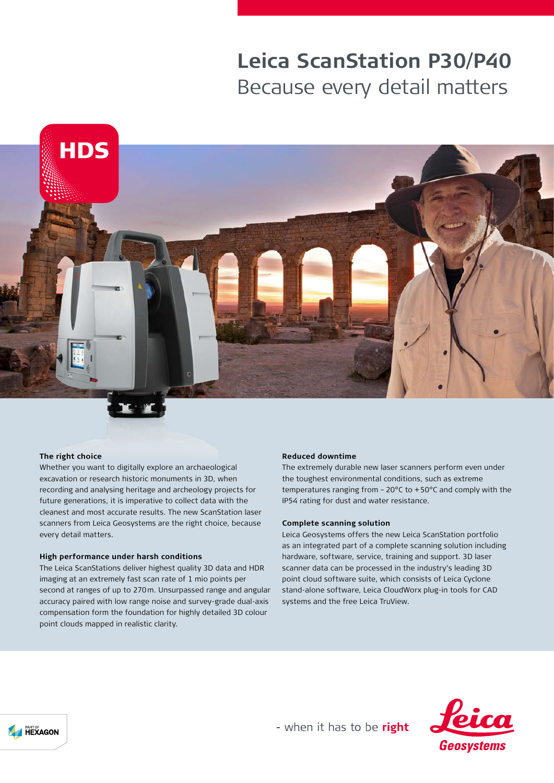# **Leica ScanStation P30/P40** Because every detail matters



#### **The right choice**

Whether you want to digitally explore an archaeological excavation or research historic monuments in 3D, when recording and analysing heritage and archeology projects for future generations, it is imperative to collect data with the cleanest and most accurate results. The new ScanStation laser scanners from Leica Geosystems are the right choice, because every detail matters.

#### **High performance under harsh conditions**

The Leica ScanStations deliver highest quality 3D data and HDR imaging at an extremely fast scan rate of 1 mio points per second at ranges of up to 270m. Unsurpassed range and angular accuracy paired with low range noise and survey-grade dual-axis compensation form the foundation for highly detailed 3D colour point clouds mapped in realistic clarity.

#### **Reduced downtime**

The extremely durable new laser scanners perform even under the toughest environmental conditions, such as extreme temperatures ranging from –20°C to +50°C and comply with the IP54 rating for dust and water resistance.

#### **Complete scanning solution**

Leica Geosystems offers the new Leica ScanStation portfolio as an integrated part of a complete scanning solution including hardware, software, service, training and support. 3D laser scanner data can be processed in the industry's leading 3D point cloud software suite, which consists of Leica Cyclone stand-alone software, Leica CloudWorx plug-in tools for CAD systems and the free Leica TruView.



- when it has to be right